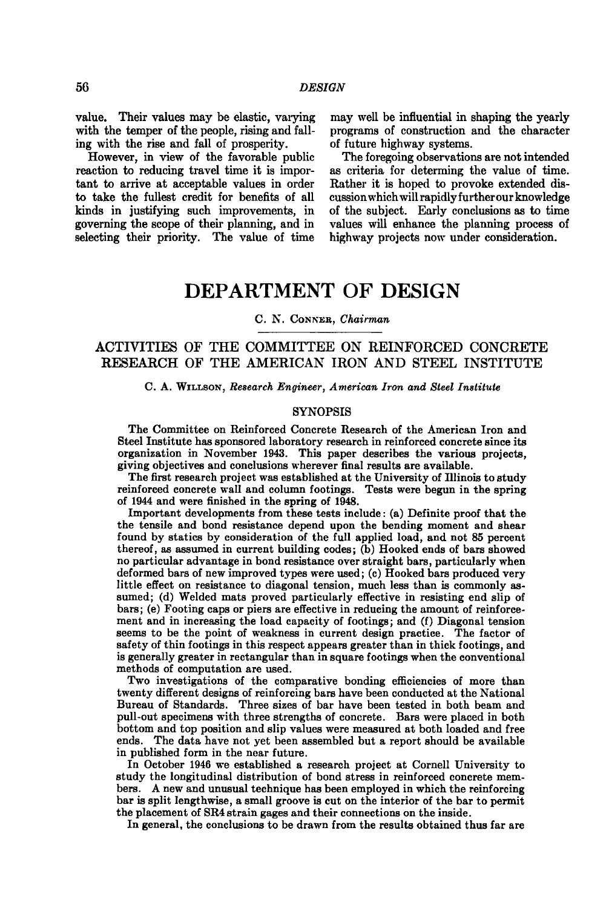value. Their values may be elastic, varying may well be influential in shaping the yearly with the temper of the people, rising and fall-<br>
ing with the rise and fall of prosperity.<br>
of future highway systems. ing with the rise and fall of prosperity.<br>However, in view of the favorable public

However, in view of the favorable public The foregoing observations are not intended reaction to reducing travel time it is impor- as criteria for determing the value of time. tant to arrive at acceptable values in order governing the scope of their planning, and in values will enhance the planning process selecting their priority. The value of time highway projects now under consideration. selecting their priority. The value of time

as criteria for determing the value of time.<br>Rather it is hoped to provoke extended dis**to take the fullest credit for benefits of all cussion which will rapidly furtherour knowledge**  of the subject. Early conclusions as to time values will enhance the planning process of

## **DEPARTMENT OF DESIGN**

**C. N. CoNNEB ,** *Chairman* 

## **ACTIVITIES OF THE COMMITTEE ON REINFORCED CONCRETE RESEARCH OF THE AMERICAN IRON AND STEEL INSTITUTE**

## **C. A. WiLLSON ,** *Research Engineer, American Iron and Steel Institute*

## **SYNOPSIS**

**The Committee on Reinforced Concrete Research of the American Iron and Steel Institute has sponsored laboratory research in reinforced concrete since its organization in November 1943. This paper describes the various projects, giving objectives and conclusions wherever final results are available.** 

**The first research project was established at the University of Illinois to study reinforced concrete wall and column footings. Tests were begun in the spring of 1944 and were finished in the spring of 194S.** 

**Important developments from these tests include: (a) Definite proof that the the tensile and bond resistance depend upon the bending moment and shear found by statics by consideration of the full applied load, and not 85 percent thereof, as assumed in current building codes; (b) Hooked ends of bars showed no particular advantage in bond resistance over straight bars, particularly when deformed bars of new improved types were used; (c) Hooked bars produced very little effect on resistance to diagonal tension, much less than is commonly assumed; (d) Welded mats proved particularly effective in resisting end slip of bars; (e) Footing caps or piers are effective in reducing the amount of reinforcement and in increasing the load capacity of footings; and (f) Diagonal tension seems to be the point of weakness in current design practice. The factor of safety of thin footings in this respect appears greater than in thick footings, and is generally greater in rectangular than in square footings when the conventional methods of computation are used.** 

**Two investigations of the comparative bonding efficiencies of more than twenty different designs of reinforcing bars have been conducted at the National Bureau of Standards. Three sizes of bar have been tested in both beam and pull-out specimens with three strengths of concrete. Bars were placed in both bottom and top position and slip values were measured at both loaded and free ends. The data have not yet been assembled but a report should be available in published form in the near future.** 

**In October 1946 we established a research project at Cornell University to study the longitudinal distribution of bond stress in reinforced concrete members. A new and unusual technique has been employed in which the reinforcing bar is split lengthwise, a small groove is cut on the interior of the bar to permit the placement of SR4 strain gages and their connections on the inside.** 

**In general, the conclusions to be drawn from the results obtained thus far are**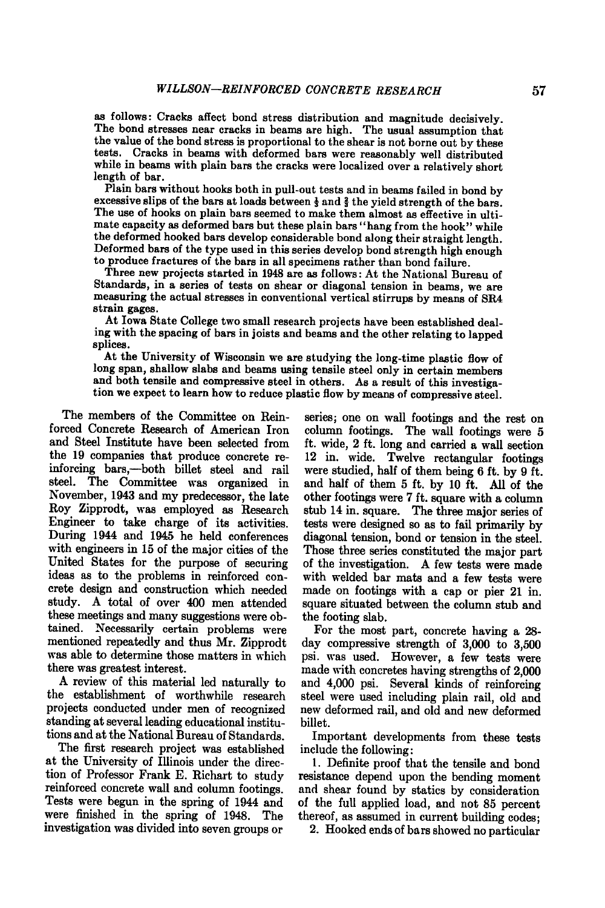**as follows: Cracks affect bond stress distribution and magnitude decisively. The bond stresses near cracks in beams are high. The usual assumption that the value of the bond stress is proportional to the shear is not borne out by these tests. Cracks in beams with deformed bars were reasonably well distributed while in beams with plain bars the cracks were localized over a relatively short length of bar.** 

**Plain bars without hooks both in pull-out tests and in beams failed in bond by**  excessive slips of the bars at loads between  $\frac{1}{3}$  and  $\frac{2}{3}$  the yield strength of the bars. **The use of hooks on plain bars seemed to make them almost as effective in ultimate capacity as deformed bars but these plain bars "hang from the hook" while the deformed hooked bars develop considerable bond along their straight length. Deformed bars of the type used in this series develop bond strength high enough to produce fractures of the bars in all specimens rather than bond failure.** 

**Three new projects started in 1948 are as follows: At the National Bureau of Standards, in a series of tests on shear or diagonal tension in beams, we are measuring the actual stresses in conventional vertical stirrups by means of SR4 strain gages.** 

**At Iowa State College two small research projects have been established dealing with the spacing of bars in joists and beams and the other relating to lapped splices.** 

**At the University of Wisconsin we are studying the long-time plastic flow of long span, shallow slabs and beams using tensile steel only in certain members and both tensile and compressive steel in others. As a result of this investigation we expect to learn how to reduce plastic flow by means of compressive steel.** 

**The members of the Committee on Reinforced Concrete Research of American Iron and Steel Institute have been selected from the 19 companies that produce concrete reinforcing bars,—both billet steel and rail steel. The Committee was organized in November, 1943 and my predecessor, the late Roy Zipprodt, was employed as Research Engineer to take charge of its activities. During 1944 and 1945 he held conferences with engineers in 15 of the major cities of the United States for the purpose of securing ideas as to the problems in reinforced concrete design and construction which needed study. A total of over 400 men attended these meetings and many suggestions were obtained. Necessarily certain problems were mentioned repeatedly and thus Mr. Zipprodt was able to determine those matters in which there was greatest interest.** 

**A review of this material led naturally to the establishment of worthwhile research projects conducted under men of recognized standing at several leading educational institutions and at the National Bureau of Standards.** 

**The first research project was established at the University of Illinois under the direction of Professor Frank E . Richart to study reinforced concrete wall and column footings. Tests were begun in the spring of 1944 and were finished in the spring of 1948. The investigation was divided into seven groups or** 

**series; one on wall footings and the rest on column footings. The wall footings were 5 ft. wide, 2 ft. long and carried a wall section 12 in. wide. Twelve rectangular footings were studied, half of them being 6 ft. by 9 ft. and half of them 5 ft. by 10 ft. All of the other footings were 7 ft. square with a column stub 14 in. square. The three major series of tests were designed so as to fail primarily by diagonal tension, bond or tension in the steel. Those three series constituted the major part of the investigation. A few tests were made with welded bar mats and a few tests were made on footings with a cap or pier 21 in. square situated between the column stub and the footing slab.** 

**For the most part, concrete having a 28 day compressive strength of 3,000 to 3,500 psi. was used. However, a few tests were made with concretes having strengths of 2,000 and 4,000 psi. Several kinds of reinforcing steel were used including plain rail, old and new deformed rail, and old and new deformed billet.** 

**Important developments from these tests include the following:** 

**1. Definite proof that the tensile and bond resistance depend upon the bending moment and shear found by statics by consideration of the full applied load, and not 85 percent thereof, as assumed in current building codes;** 

**2. Hooked ends of bars showed no particular**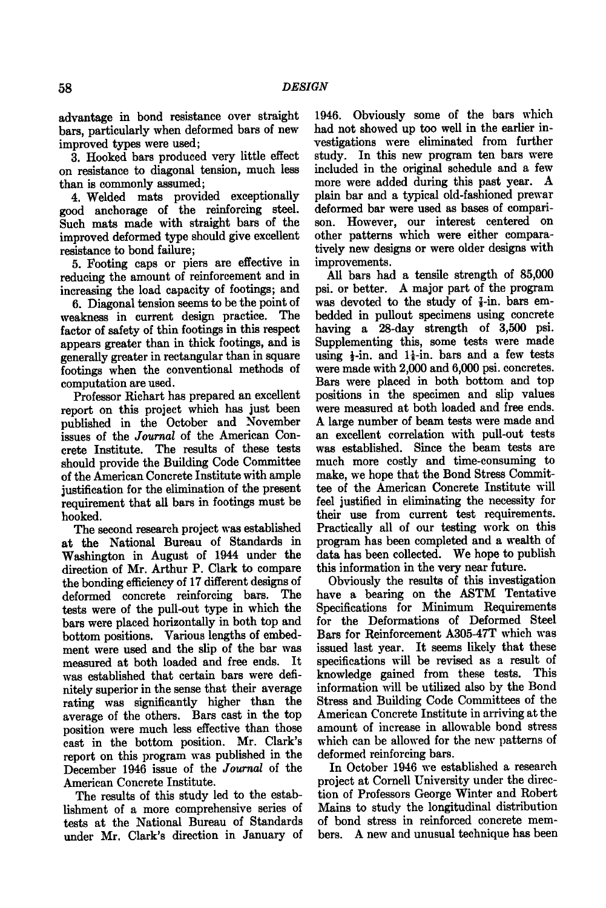**advantage in bond resistance over straight bars, particularly when deformed bars of new improved types were used;** 

**3. Hooked bars produced very little effect on resistance to diagonal tension, much less than is commonly assumed;** 

**4. Welded mats provided exceptionally good anchorage of the reinforcing steel. Such mats made with straight bars of the improved deformed tjrpe should give excellent resistance to bond failure;** 

**5. Footing caps or piers are effective in reducing the amount of reinforcement and in increasing the load capacity of footings; and** 

**6. Diagonal tension seems to be the point of weakness in current design practice. The factor of safety of thin footings in this respect appears greater than in thick footings, and is generally greater in rectangular than in square footings when the conventional methods of computation are used.** 

**Professor Richart has prepared an excellent report on this project which has just been published in the October and November issues of the** *Journal of* **the American Concrete Institute. The results of these tests should provide the Building Code Committee of the American Concrete Institute with ample justification for the elimination of the present requirement that all bars in footings must be hooked.** 

**The second research project was established at the National Bureau of Standards in Washington in August of 1944 under the direction of Mr. Arthur P. Clark to compare the bonding efficiency of 17 different designs of deformed concrete reinforcing bars. The tests were of the pull-out type in which the bars were placed horizontally in both top and bottom positions. Various lengths of embedment were used and the slip of the bar was measured at both loaded and free ends. It was established that certain bars were definitely superior in the sense that their average rating was significantly higher than the average of the others. Bars cast in the top position were much less effective than those cast in the bottom position. Mr. Clark's report on this program was published in the December 1946 issue of the** *Journal* **of the American Concrete Institute.** 

**The results of this study led to the establishment of a more comprehensive series of tests at the National Bureau of Standards under Mr. Clark's direction in January of** 

**1946. Obviously some of the bars which had not showed up too well in the earlier investigations were eliminated from further study. In this new program ten bars were included in the original schedule and a few more were added during this past year. A**  plain bar and a typical old-fashioned prewar **deformed bar were used as bases of comparison. However, our interest centered on other patterns which were either comparatively new designs or were older designs with improvements.** 

**All bars had a tensile strength of 85,000 psi. or better. A major part of the program**  was devoted to the study of  $\frac{7}{8}$ -in. bars em**bedded in puUout specimens using concrete having a 28-day strength of 3,500 psi. Supplementing this, some tests were made**  using  $\frac{1}{2}$ -in. and  $1\frac{1}{2}$ -in. bars and a few tests **were made with 2,000 and 6,000 psi. concretes. Bars were placed in both bottom and top positions in the specimen and slip values were measured at both loaded and free ends. A large number of beam tests were made and an excellent correlation with pull-out tests was established. Since the beam tests are much more costly and time-consuming to make, we hope that the Bond Stress Committee of the American Concrete Institute will feel justified in eliminating the necessity for their use from current test requirements. Practically all of our testing work on this program has been completed and a wealth of data has been collected. We hope to publish this information in the very near future.** 

**Obviously the results of this investigation**  have a bearing on the ASTM Tentative **Specifications for Minimum Requirements for the Deformations of Deformed Steel Bars for Reinforcement A305-47T which was issued last year. It seems likely that these specifications will be revised as a result of knowledge gained from these tests. This**  information will be utilized also by the Bond **Stress and Building Code Committees of the American Concrete Institute in arriving at the amount of increase in allowable bond stress which can be allowed for the new patterns of deformed reinforcing bars.** 

**In October 1946 we established a research project at Cornell University under the direction of Professors George Winter and Robert Mains to study the longitudinal distribution of bond stress in reinforced concrete members. A new and unusual technique has been**